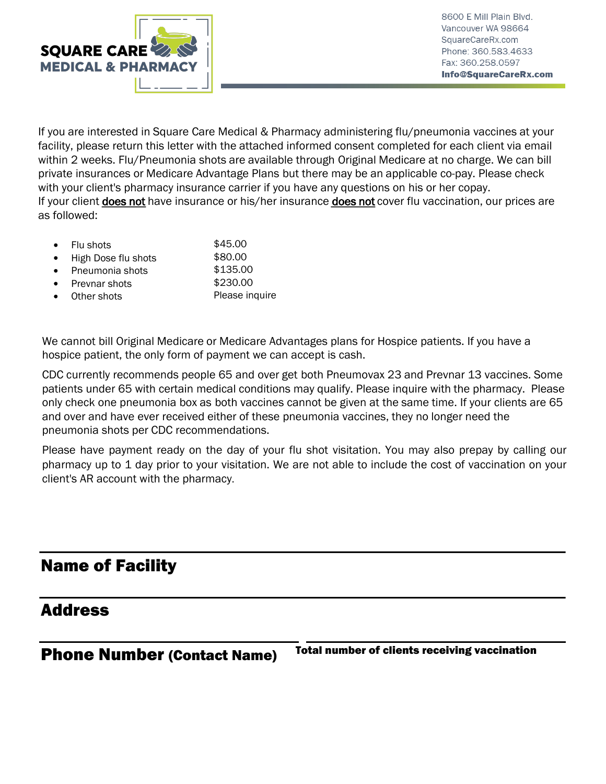

If you are interested in Square Care Medical & Pharmacy administering flu/pneumonia vaccines at your facility, please return this letter with the attached informed consent completed for each client via email within 2 weeks. Flu/Pneumonia shots are available through Original Medicare at no charge. We can bill private insurances or Medicare Advantage Plans but there may be an applicable co-pay. Please check with your client's pharmacy insurance carrier if you have any questions on his or her copay. If your client does not have insurance or his/her insurance does not cover flu vaccination, our prices are as followed:

| $\bullet$ | Flu shots           | \$45.00  |
|-----------|---------------------|----------|
| $\bullet$ | High Dose flu shots | \$80.00  |
| $\bullet$ | Pneumonia shots     | \$135.00 |
| $\bullet$ | Prevnar shots       | \$230.00 |

Other shots Please inquire

We cannot bill Original Medicare or Medicare Advantages plans for Hospice patients. If you have a hospice patient, the only form of payment we can accept is cash.

CDC currently recommends people 65 and over get both Pneumovax 23 and Prevnar 13 vaccines. Some patients under 65 with certain medical conditions may qualify. Please inquire with the pharmacy. Please only check one pneumonia box as both vaccines cannot be given at the same time. If your clients are 65 and over and have ever received either of these pneumonia vaccines, they no longer need the pneumonia shots per CDC recommendations.

Please have payment ready on the day of your flu shot visitation. You may also prepay by calling our pharmacy up to 1 day prior to your visitation. We are not able to include the cost of vaccination on your client's AR account with the pharmacy.

## Name of Facility

## Address

Phone Number (Contact Name) Total number of clients receiving vaccination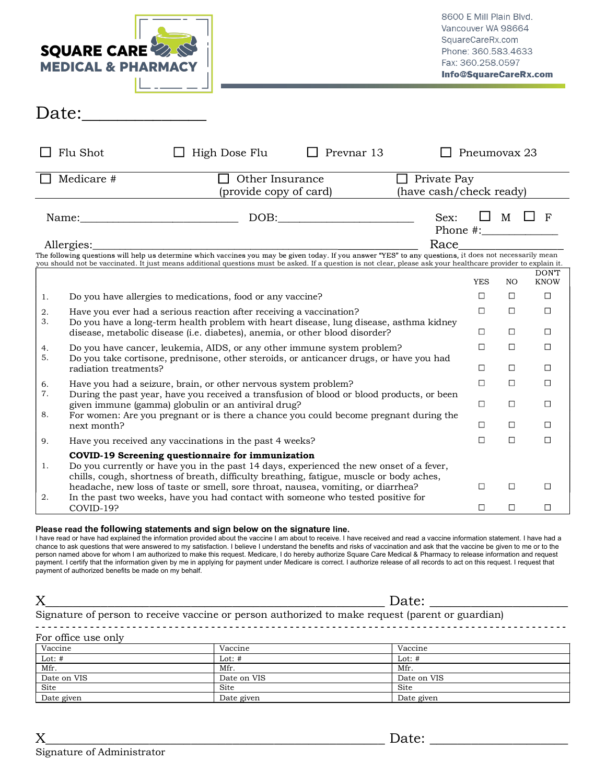| <b>MEDICAL &amp; PHARMACY</b> | <b>SQUARE CARE</b>                                                                                                                                                                                                                            |                                                                                                                                                                                                                                                                                                                                                                                                                                                         |                                               |      | Vancouver WA 98664<br>SquareCareRx.com<br>Phone: 360.583.4633<br>Fax: 360.258.0597 | 8600 E Mill Plain Blvd. | Info@SquareCareRx.com   |
|-------------------------------|-----------------------------------------------------------------------------------------------------------------------------------------------------------------------------------------------------------------------------------------------|---------------------------------------------------------------------------------------------------------------------------------------------------------------------------------------------------------------------------------------------------------------------------------------------------------------------------------------------------------------------------------------------------------------------------------------------------------|-----------------------------------------------|------|------------------------------------------------------------------------------------|-------------------------|-------------------------|
| Date:                         |                                                                                                                                                                                                                                               |                                                                                                                                                                                                                                                                                                                                                                                                                                                         |                                               |      |                                                                                    |                         |                         |
| $\Box$ Flu Shot               | $\Box$ High Dose Flu                                                                                                                                                                                                                          | $\Box$ Prevnar 13                                                                                                                                                                                                                                                                                                                                                                                                                                       |                                               |      | Pneumovax 23                                                                       |                         |                         |
| $\Box$ Medicare #             | $\Box$ Other Insurance<br>(provide copy of card)                                                                                                                                                                                              |                                                                                                                                                                                                                                                                                                                                                                                                                                                         | $\Box$ Private Pay<br>(have cash/check ready) |      |                                                                                    |                         |                         |
|                               |                                                                                                                                                                                                                                               | $\text{DOB:}\n \begin{tabular}{ c c c c } \hline \multicolumn{3}{ c }{\text{DOB}}: \quad & \multicolumn{3}{ c }{\text{O}}: \quad & \multicolumn{3}{ c }{\text{DOB}}: \quad & \multicolumn{3}{ c }{\text{DOB}}: \quad & \multicolumn{3}{ c }{\text{DOB}}: \quad & \multicolumn{3}{ c }{\text{DOB}}: \quad & \multicolumn{3}{ c }{\text{DOB}}: \quad & \multicolumn{3}{ c }{\text{DOB}}: \quad & \multicolumn{3}{ c }{\text{DOB}}: \quad & \multicolumn{$ |                                               | Sex: |                                                                                    |                         | $\square$ M $\square$ F |
| Allergies:                    | The following questions will help us determine which vaccines you may be given today. If you answer "YES" to any questions, it does not necessarily mean                                                                                      |                                                                                                                                                                                                                                                                                                                                                                                                                                                         | Race                                          |      |                                                                                    |                         |                         |
|                               | you should not be vaccinated. It just means additional questions must be asked. If a question is not clear, please ask your healthcare provider to explain it.                                                                                |                                                                                                                                                                                                                                                                                                                                                                                                                                                         |                                               |      |                                                                                    |                         | DON'T                   |
|                               |                                                                                                                                                                                                                                               |                                                                                                                                                                                                                                                                                                                                                                                                                                                         |                                               |      | YES                                                                                | NO.                     | <b>KNOW</b>             |
| 1.                            | Do you have allergies to medications, food or any vaccine?                                                                                                                                                                                    |                                                                                                                                                                                                                                                                                                                                                                                                                                                         |                                               |      | $\Box$                                                                             | $\Box$                  | $\Box$                  |
| 2.<br>3.                      | Have you ever had a serious reaction after receiving a vaccination?<br>Do you have a long-term health problem with heart disease, lung disease, asthma kidney<br>disease, metabolic disease (i.e. diabetes), anemia, or other blood disorder? |                                                                                                                                                                                                                                                                                                                                                                                                                                                         |                                               |      | $\Box$<br>$\Box$                                                                   | $\Box$<br>$\Box$        | $\Box$<br>$\Box$        |
| 4.<br>5.                      | Do you have cancer, leukemia, AIDS, or any other immune system problem?<br>Do you take cortisone, prednisone, other steroids, or anticancer drugs, or have you had                                                                            |                                                                                                                                                                                                                                                                                                                                                                                                                                                         |                                               |      | П                                                                                  | П                       |                         |
| radiation treatments?         | Have you had a seizure, brain, or other nervous system problem?                                                                                                                                                                               |                                                                                                                                                                                                                                                                                                                                                                                                                                                         |                                               |      | $\Box$                                                                             | $\Box$                  | □<br>$\Box$             |
| 6.<br>7.                      | During the past year, have you received a transfusion of blood or blood products, or been                                                                                                                                                     |                                                                                                                                                                                                                                                                                                                                                                                                                                                         |                                               |      |                                                                                    |                         |                         |
| 8.                            | given immune (gamma) globulin or an antiviral drug?<br>For women: Are you pregnant or is there a chance you could become pregnant during the                                                                                                  |                                                                                                                                                                                                                                                                                                                                                                                                                                                         |                                               |      | $\Box$                                                                             | $\Box$                  | $\Box$                  |
| next month?                   |                                                                                                                                                                                                                                               |                                                                                                                                                                                                                                                                                                                                                                                                                                                         |                                               |      | П                                                                                  | □                       | $\Box$                  |
| 9.                            | Have you received any vaccinations in the past 4 weeks?                                                                                                                                                                                       |                                                                                                                                                                                                                                                                                                                                                                                                                                                         |                                               |      | П                                                                                  | П                       | □                       |
| 1.                            | COVID-19 Screening questionnaire for immunization<br>Do you currently or have you in the past 14 days, experienced the new onset of a fever,<br>chills, cough, shortness of breath, difficulty breathing, fatigue, muscle or body aches,      |                                                                                                                                                                                                                                                                                                                                                                                                                                                         |                                               |      |                                                                                    |                         |                         |
| 2.                            | headache, new loss of taste or smell, sore throat, nausea, vomiting, or diarrhea?<br>In the past two weeks, have you had contact with someone who tested positive for                                                                         |                                                                                                                                                                                                                                                                                                                                                                                                                                                         |                                               |      | П                                                                                  | □                       | $\Box$                  |
| COVID-19?                     |                                                                                                                                                                                                                                               |                                                                                                                                                                                                                                                                                                                                                                                                                                                         |                                               |      | □                                                                                  | □                       | $\Box$                  |

## Please read the following statements and sign below on the signature line.

|                     | Date:                                                                                            |             |  |  |
|---------------------|--------------------------------------------------------------------------------------------------|-------------|--|--|
|                     | Signature of person to receive vaccine or person authorized to make request (parent or guardian) |             |  |  |
| For office use only |                                                                                                  |             |  |  |
| Vaccine             | Vaccine                                                                                          | Vaccine     |  |  |
| Lot: $#$            | Lot: $#$                                                                                         | Lot: $#$    |  |  |
| Mfr.                | Mfr.                                                                                             | Mfr.        |  |  |
| Date on VIS         | Date on VIS                                                                                      | Date on VIS |  |  |
| Site                | Site                                                                                             | Site        |  |  |
| Date given          | Date given                                                                                       | Date given  |  |  |